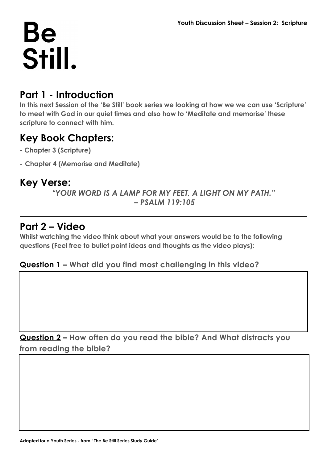## **Be** Still.

#### **Part 1 - Introduction**

**In this next Session of the 'Be Still' book series we looking at how we we can use 'Scripture' to meet with God in our quiet times and also how to 'Meditate and memorise' these scripture to connect with him.**

#### **Key Book Chapters:**

- **Chapter 3 (Scripture)**
- **- Chapter 4 (Memorise and Meditate)**

### **Key Verse:**

*"YOUR WORD IS A LAMP FOR MY FEET, A LIGHT ON MY PATH." – PSALM 119:105*

#### **Part 2 – Video**

**Whilst watching the video think about what your answers would be to the following questions (Feel free to bullet point ideas and thoughts as the video plays):**

#### **Question 1 – What did you find most challenging in this video?**

**Question 2 – How often do you read the bible? And What distracts you from reading the bible?**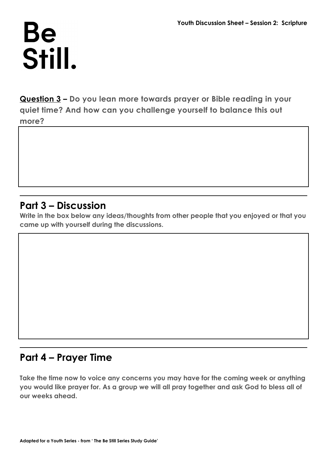## **Be** Still.

**Question 3 – Do you lean more towards prayer or Bible reading in your quiet time? And how can you challenge yourself to balance this out more?**

#### **Part 3 – Discussion**

**Write in the box below any ideas/thoughts from other people that you enjoyed or that you came up with yourself during the discussions.**

#### **Part 4 – Prayer Time**

**Take the time now to voice any concerns you may have for the coming week or anything you would like prayer for. As a group we will all pray together and ask God to bless all of our weeks ahead.**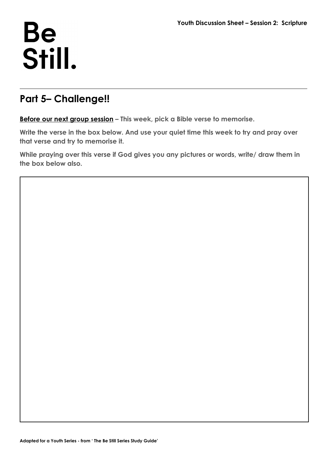## **Be** Still.

### **Part 5– Challenge!!**

**Before our next group session – This week, pick a Bible verse to memorise.**

**Write the verse in the box below. And use your quiet time this week to try and pray over that verse and try to memorise it.**

**While praying over this verse if God gives you any pictures or words, write/ draw them in the box below also.**